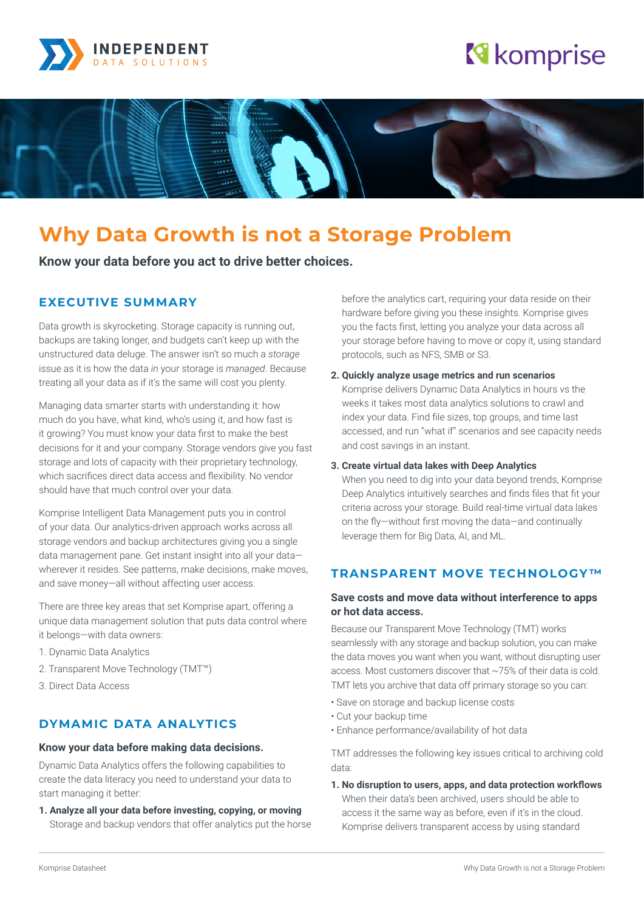

# **N** komprise



# **Why Data Growth is not a Storage Problem**

**Know your data before you act to drive better choices.**

# **EXECUTIVE SUMMARY**

Data growth is skyrocketing. Storage capacity is running out, backups are taking longer, and budgets can't keep up with the unstructured data deluge. The answer isn't so much a *storage* issue as it is how the data *in* your storage is *managed*. Because treating all your data as if it's the same will cost you plenty.

Managing data smarter starts with understanding it: how much do you have, what kind, who's using it, and how fast is it growing? You must know your data first to make the best decisions for it and your company. Storage vendors give you fast storage and lots of capacity with their proprietary technology, which sacrifices direct data access and flexibility. No vendor should have that much control over your data.

Komprise Intelligent Data Management puts you in control of your data. Our analytics-driven approach works across all storage vendors and backup architectures giving you a single data management pane. Get instant insight into all your data wherever it resides. See patterns, make decisions, make moves, and save money—all without affecting user access.

There are three key areas that set Komprise apart, offering a unique data management solution that puts data control where it belongs—with data owners:

- 1. Dynamic Data Analytics
- 2. Transparent Move Technology (TMT™)
- 3. Direct Data Access

# **DYMAMIC DATA ANALYTICS**

#### **Know your data before making data decisions.**

Dynamic Data Analytics offers the following capabilities to create the data literacy you need to understand your data to start managing it better:

**1. Analyze all your data before investing, copying, or moving** Storage and backup vendors that offer analytics put the horse before the analytics cart, requiring your data reside on their hardware before giving you these insights. Komprise gives you the facts first, letting you analyze your data across all your storage before having to move or copy it, using standard protocols, such as NFS, SMB or S3.

### **2. Quickly analyze usage metrics and run scenarios**

Komprise delivers Dynamic Data Analytics in hours vs the weeks it takes most data analytics solutions to crawl and index your data. Find file sizes, top groups, and time last accessed, and run "what if" scenarios and see capacity needs and cost savings in an instant.

### **3. Create virtual data lakes with Deep Analytics**

When you need to dig into your data beyond trends, Komprise Deep Analytics intuitively searches and finds files that fit your criteria across your storage. Build real-time virtual data lakes on the fly—without first moving the data—and continually leverage them for Big Data, AI, and ML.

# **TRANSPARENT MOVE TECHNOLOGY™**

## **Save costs and move data without interference to apps or hot data access.**

Because our Transparent Move Technology (TMT) works seamlessly with any storage and backup solution, you can make the data moves you want when you want, without disrupting user access. Most customers discover that ~75% of their data is cold. TMT lets you archive that data off primary storage so you can:

• Save on storage and backup license costs

- Cut your backup time
- Enhance performance/availability of hot data

TMT addresses the following key issues critical to archiving cold data:

**1. No disruption to users, apps, and data protection workflows** When their data's been archived, users should be able to access it the same way as before, even if it's in the cloud. Komprise delivers transparent access by using standard